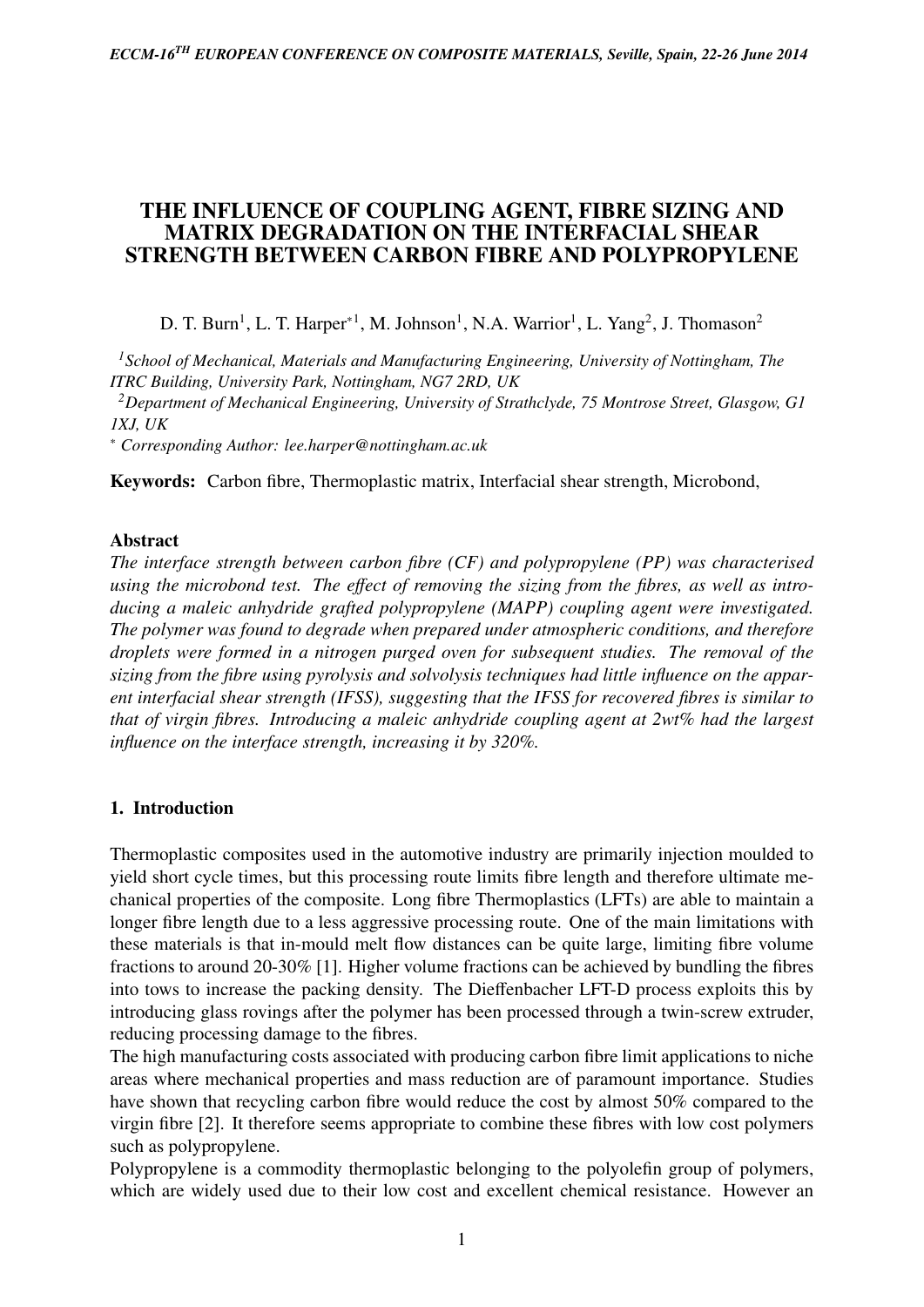# THE INFLUENCE OF COUPLING AGENT, FIBRE SIZING AND MATRIX DEGRADATION ON THE INTERFACIAL SHEAR STRENGTH BETWEEN CARBON FIBRE AND POLYPROPYLENE

D. T. Burn<sup>1</sup>, L. T. Harper<sup>\*1</sup>, M. Johnson<sup>1</sup>, N.A. Warrior<sup>1</sup>, L. Yang<sup>2</sup>, J. Thomason<sup>2</sup>

*<sup>1</sup>School of Mechanical, Materials and Manufacturing Engineering, University of Nottingham, The ITRC Building, University Park, Nottingham, NG7 2RD, UK*

*<sup>2</sup>Department of Mechanical Engineering, University of Strathclyde, 75 Montrose Street, Glasgow, G1 1XJ, UK*

<sup>∗</sup> *Corresponding Author: lee.harper@nottingham.ac.uk*

Keywords: Carbon fibre, Thermoplastic matrix, Interfacial shear strength, Microbond,

### Abstract

*The interface strength between carbon fibre (CF) and polypropylene (PP) was characterised using the microbond test. The e*ff*ect of removing the sizing from the fibres, as well as introducing a maleic anhydride grafted polypropylene (MAPP) coupling agent were investigated. The polymer was found to degrade when prepared under atmospheric conditions, and therefore droplets were formed in a nitrogen purged oven for subsequent studies. The removal of the sizing from the fibre using pyrolysis and solvolysis techniques had little influence on the apparent interfacial shear strength (IFSS), suggesting that the IFSS for recovered fibres is similar to that of virgin fibres. Introducing a maleic anhydride coupling agent at 2wt% had the largest influence on the interface strength, increasing it by 320%.*

### 1. Introduction

Thermoplastic composites used in the automotive industry are primarily injection moulded to yield short cycle times, but this processing route limits fibre length and therefore ultimate mechanical properties of the composite. Long fibre Thermoplastics (LFTs) are able to maintain a longer fibre length due to a less aggressive processing route. One of the main limitations with these materials is that in-mould melt flow distances can be quite large, limiting fibre volume fractions to around 20-30% [1]. Higher volume fractions can be achieved by bundling the fibres into tows to increase the packing density. The Dieffenbacher LFT-D process exploits this by introducing glass rovings after the polymer has been processed through a twin-screw extruder, reducing processing damage to the fibres.

The high manufacturing costs associated with producing carbon fibre limit applications to niche areas where mechanical properties and mass reduction are of paramount importance. Studies have shown that recycling carbon fibre would reduce the cost by almost 50% compared to the virgin fibre [2]. It therefore seems appropriate to combine these fibres with low cost polymers such as polypropylene.

Polypropylene is a commodity thermoplastic belonging to the polyolefin group of polymers, which are widely used due to their low cost and excellent chemical resistance. However an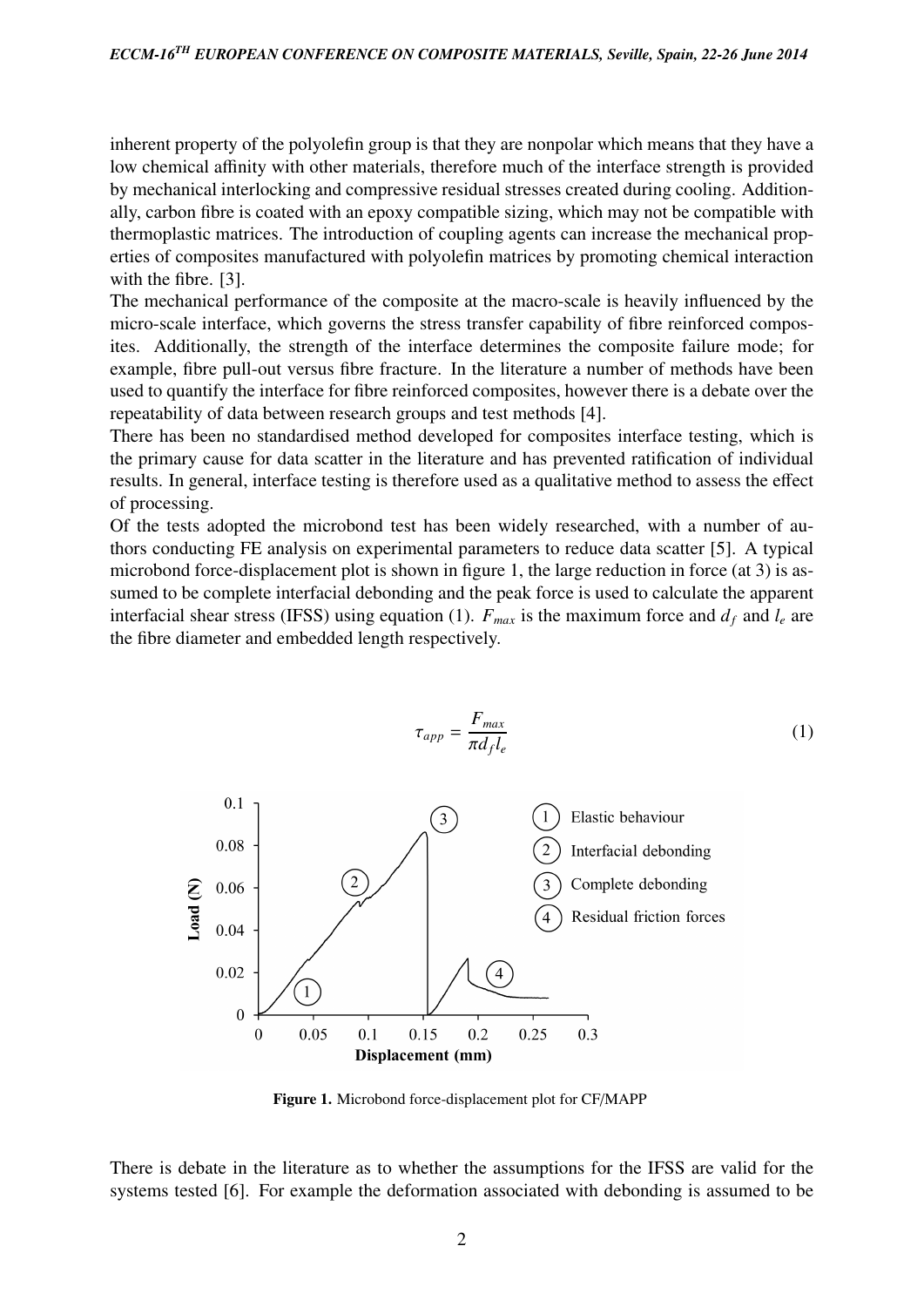inherent property of the polyolefin group is that they are nonpolar which means that they have a low chemical affinity with other materials, therefore much of the interface strength is provided by mechanical interlocking and compressive residual stresses created during cooling. Additionally, carbon fibre is coated with an epoxy compatible sizing, which may not be compatible with thermoplastic matrices. The introduction of coupling agents can increase the mechanical properties of composites manufactured with polyolefin matrices by promoting chemical interaction with the fibre. [3].

The mechanical performance of the composite at the macro-scale is heavily influenced by the micro-scale interface, which governs the stress transfer capability of fibre reinforced composites. Additionally, the strength of the interface determines the composite failure mode; for example, fibre pull-out versus fibre fracture. In the literature a number of methods have been used to quantify the interface for fibre reinforced composites, however there is a debate over the repeatability of data between research groups and test methods [4].

There has been no standardised method developed for composites interface testing, which is the primary cause for data scatter in the literature and has prevented ratification of individual results. In general, interface testing is therefore used as a qualitative method to assess the effect of processing.

Of the tests adopted the microbond test has been widely researched, with a number of authors conducting FE analysis on experimental parameters to reduce data scatter [5]. A typical microbond force-displacement plot is shown in figure 1, the large reduction in force (at 3) is assumed to be complete interfacial debonding and the peak force is used to calculate the apparent interfacial shear stress (IFSS) using equation (1).  $F_{max}$  is the maximum force and  $d_f$  and  $l_e$  are the fibre diameter and embedded length respectively.



Figure 1. Microbond force-displacement plot for CF/MAPP

There is debate in the literature as to whether the assumptions for the IFSS are valid for the systems tested [6]. For example the deformation associated with debonding is assumed to be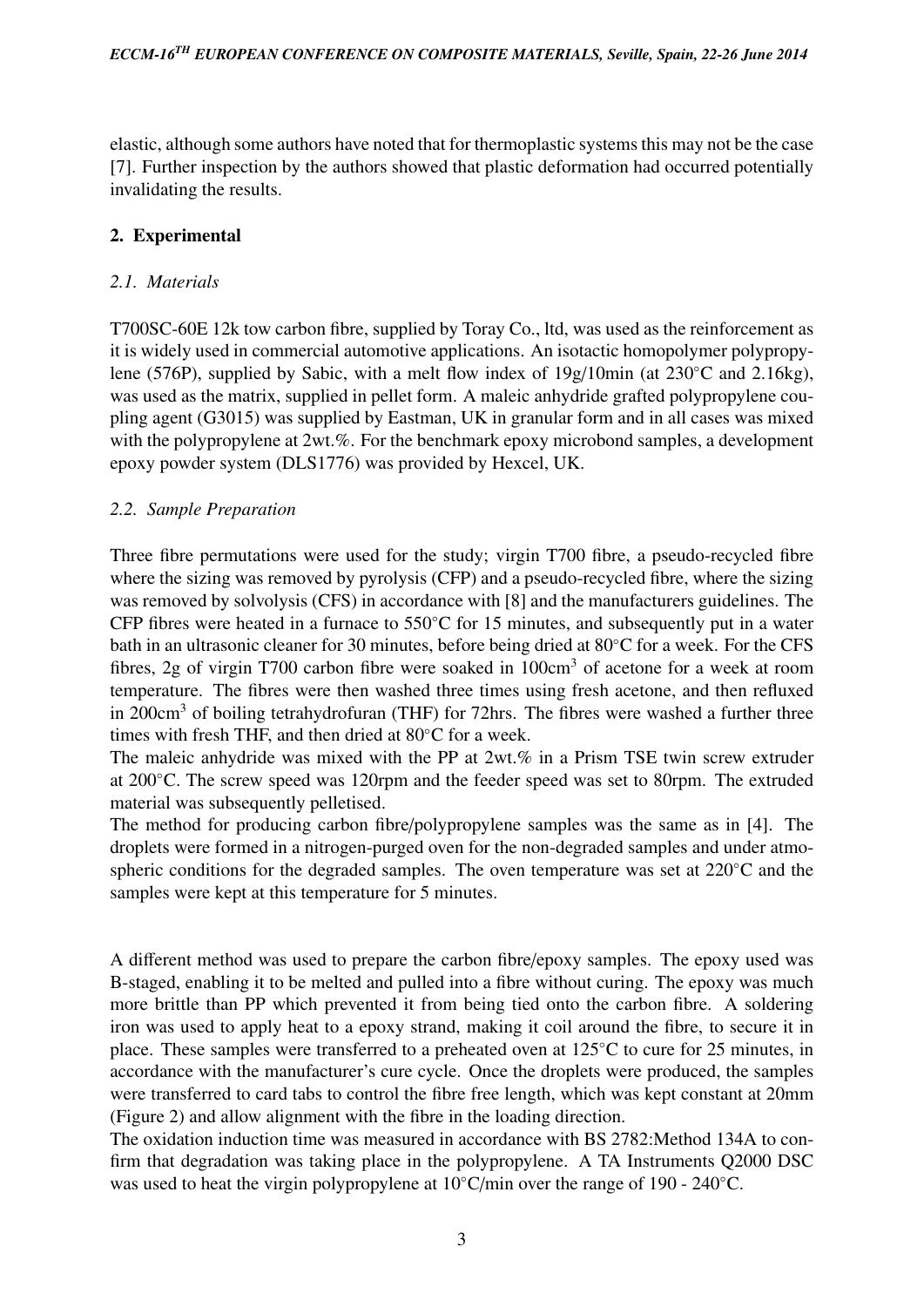elastic, although some authors have noted that for thermoplastic systems this may not be the case [7]. Further inspection by the authors showed that plastic deformation had occurred potentially invalidating the results.

# 2. Experimental

# *2.1. Materials*

T700SC-60E 12k tow carbon fibre, supplied by Toray Co., ltd, was used as the reinforcement as it is widely used in commercial automotive applications. An isotactic homopolymer polypropylene (576P), supplied by Sabic, with a melt flow index of 19g/10min (at 230◦C and 2.16kg), was used as the matrix, supplied in pellet form. A maleic anhydride grafted polypropylene coupling agent (G3015) was supplied by Eastman, UK in granular form and in all cases was mixed with the polypropylene at 2wt.%. For the benchmark epoxy microbond samples, a development epoxy powder system (DLS1776) was provided by Hexcel, UK.

# *2.2. Sample Preparation*

Three fibre permutations were used for the study; virgin T700 fibre, a pseudo-recycled fibre where the sizing was removed by pyrolysis (CFP) and a pseudo-recycled fibre, where the sizing was removed by solvolysis (CFS) in accordance with [8] and the manufacturers guidelines. The CFP fibres were heated in a furnace to 550◦C for 15 minutes, and subsequently put in a water bath in an ultrasonic cleaner for 30 minutes, before being dried at 80◦C for a week. For the CFS fibres, 2g of virgin T700 carbon fibre were soaked in 100cm<sup>3</sup> of acetone for a week at room temperature. The fibres were then washed three times using fresh acetone, and then refluxed in 200cm<sup>3</sup> of boiling tetrahydrofuran (THF) for 72hrs. The fibres were washed a further three times with fresh THF, and then dried at 80◦C for a week.

The maleic anhydride was mixed with the PP at 2wt.% in a Prism TSE twin screw extruder at 200◦C. The screw speed was 120rpm and the feeder speed was set to 80rpm. The extruded material was subsequently pelletised.

The method for producing carbon fibre/polypropylene samples was the same as in [4]. The droplets were formed in a nitrogen-purged oven for the non-degraded samples and under atmospheric conditions for the degraded samples. The oven temperature was set at 220◦C and the samples were kept at this temperature for 5 minutes.

A different method was used to prepare the carbon fibre/epoxy samples. The epoxy used was B-staged, enabling it to be melted and pulled into a fibre without curing. The epoxy was much more brittle than PP which prevented it from being tied onto the carbon fibre. A soldering iron was used to apply heat to a epoxy strand, making it coil around the fibre, to secure it in place. These samples were transferred to a preheated oven at 125◦C to cure for 25 minutes, in accordance with the manufacturer's cure cycle. Once the droplets were produced, the samples were transferred to card tabs to control the fibre free length, which was kept constant at 20mm (Figure 2) and allow alignment with the fibre in the loading direction.

The oxidation induction time was measured in accordance with BS 2782:Method 134A to confirm that degradation was taking place in the polypropylene. A TA Instruments Q2000 DSC was used to heat the virgin polypropylene at 10◦C/min over the range of 190 - 240◦C.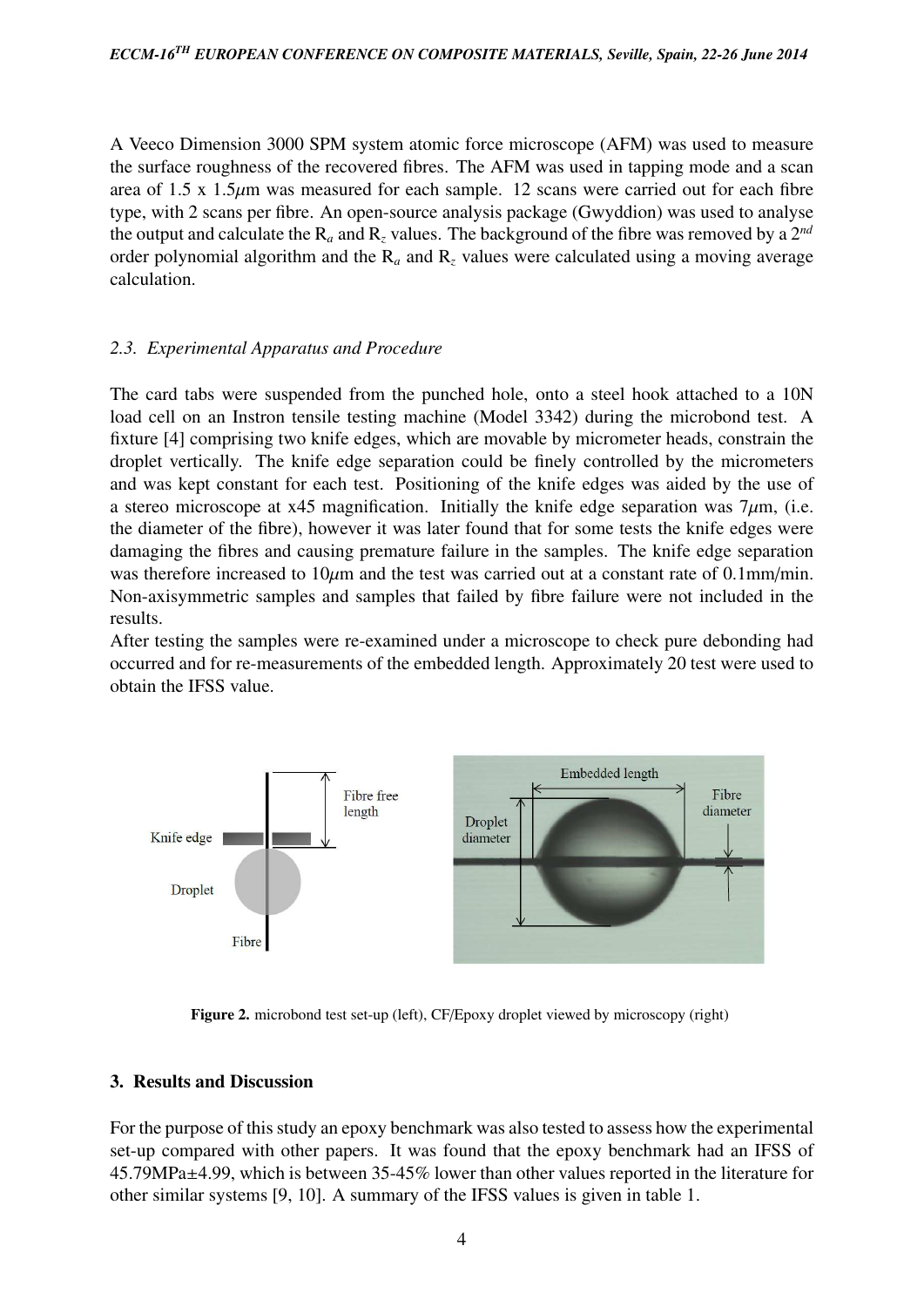A Veeco Dimension 3000 SPM system atomic force microscope (AFM) was used to measure the surface roughness of the recovered fibres. The AFM was used in tapping mode and a scan area of 1.5 x 1.5 $\mu$ m was measured for each sample. 12 scans were carried out for each fibre type, with 2 scans per fibre. An open-source analysis package (Gwyddion) was used to analyse the output and calculate the  $R_a$  and  $R_z$  values. The background of the fibre was removed by a  $2^{nd}$ order polynomial algorithm and the R*<sup>a</sup>* and R*<sup>z</sup>* values were calculated using a moving average calculation.

# *2.3. Experimental Apparatus and Procedure*

The card tabs were suspended from the punched hole, onto a steel hook attached to a 10N load cell on an Instron tensile testing machine (Model 3342) during the microbond test. A fixture [4] comprising two knife edges, which are movable by micrometer heads, constrain the droplet vertically. The knife edge separation could be finely controlled by the micrometers and was kept constant for each test. Positioning of the knife edges was aided by the use of a stereo microscope at  $x$ 45 magnification. Initially the knife edge separation was  $7\mu$ m, (i.e. the diameter of the fibre), however it was later found that for some tests the knife edges were damaging the fibres and causing premature failure in the samples. The knife edge separation was therefore increased to  $10\mu m$  and the test was carried out at a constant rate of 0.1mm/min. Non-axisymmetric samples and samples that failed by fibre failure were not included in the results.

After testing the samples were re-examined under a microscope to check pure debonding had occurred and for re-measurements of the embedded length. Approximately 20 test were used to obtain the IFSS value.



Figure 2. microbond test set-up (left), CF/Epoxy droplet viewed by microscopy (right)

### 3. Results and Discussion

For the purpose of this study an epoxy benchmark was also tested to assess how the experimental set-up compared with other papers. It was found that the epoxy benchmark had an IFSS of 45.79MPa±4.99, which is between 35-45% lower than other values reported in the literature for other similar systems [9, 10]. A summary of the IFSS values is given in table 1.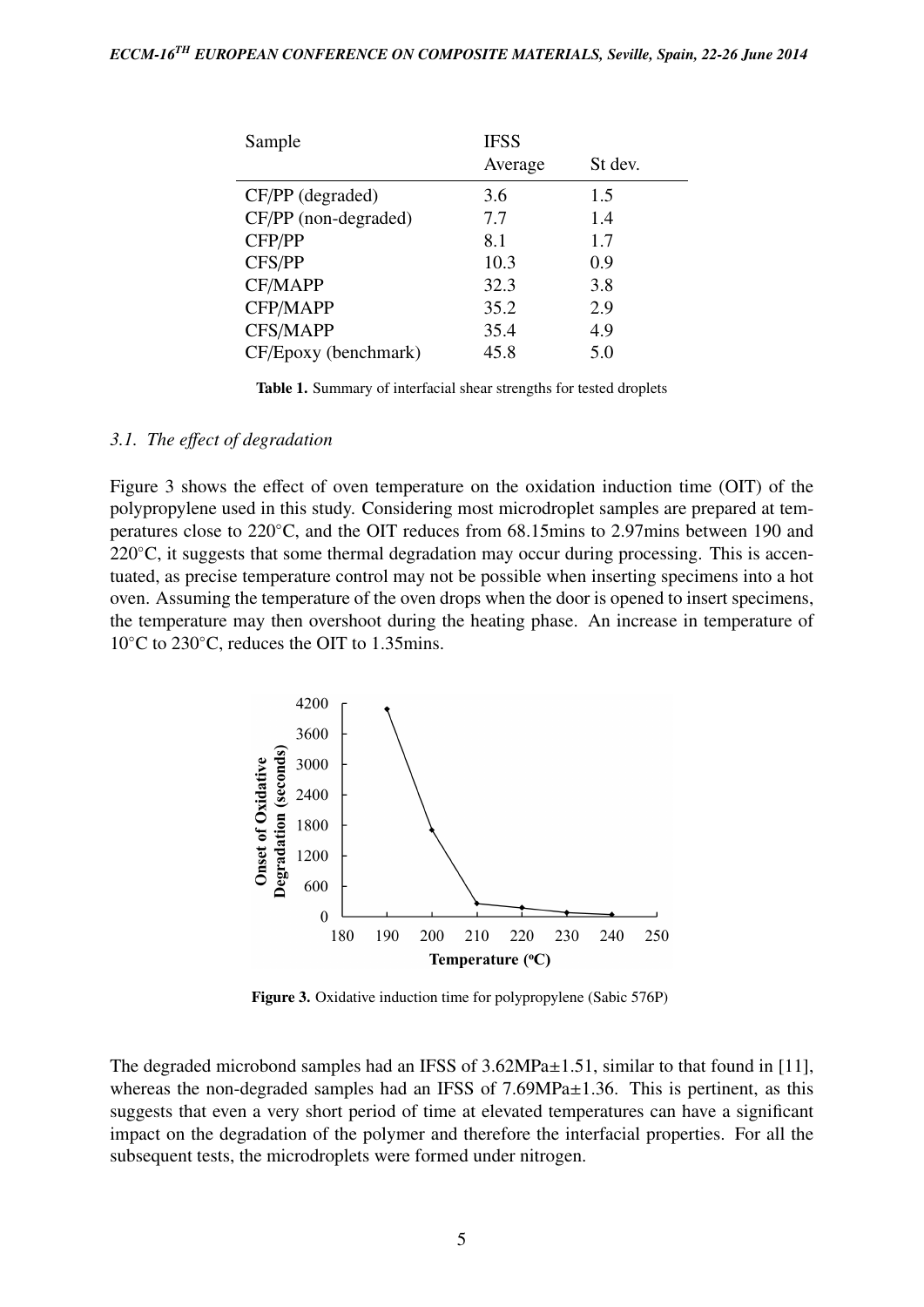| Sample               | <b>IFSS</b> |         |
|----------------------|-------------|---------|
|                      | Average     | St dev. |
| CF/PP (degraded)     | 3.6         | 1.5     |
| CF/PP (non-degraded) | 7.7         | 1.4     |
| CFP/PP               | 8.1         | 1.7     |
| CFS/PP               | 10.3        | 0.9     |
| CF/MAPP              | 32.3        | 3.8     |
| CFP/MAPP             | 35.2        | 2.9     |
| <b>CFS/MAPP</b>      | 35.4        | 4.9     |
| CF/Epoxy (benchmark) | 45.8        | 5.0     |

Table 1. Summary of interfacial shear strengths for tested droplets

#### *3.1. The e*ff*ect of degradation*

Figure 3 shows the effect of oven temperature on the oxidation induction time (OIT) of the polypropylene used in this study. Considering most microdroplet samples are prepared at temperatures close to 220◦C, and the OIT reduces from 68.15mins to 2.97mins between 190 and  $220^{\circ}$ C, it suggests that some thermal degradation may occur during processing. This is accentuated, as precise temperature control may not be possible when inserting specimens into a hot oven. Assuming the temperature of the oven drops when the door is opened to insert specimens, the temperature may then overshoot during the heating phase. An increase in temperature of 10◦C to 230◦C, reduces the OIT to 1.35mins.



Figure 3. Oxidative induction time for polypropylene (Sabic 576P)

The degraded microbond samples had an IFSS of  $3.62 MPa \pm 1.51$ , similar to that found in [11], whereas the non-degraded samples had an IFSS of 7.69MPa±1.36. This is pertinent, as this suggests that even a very short period of time at elevated temperatures can have a significant impact on the degradation of the polymer and therefore the interfacial properties. For all the subsequent tests, the microdroplets were formed under nitrogen.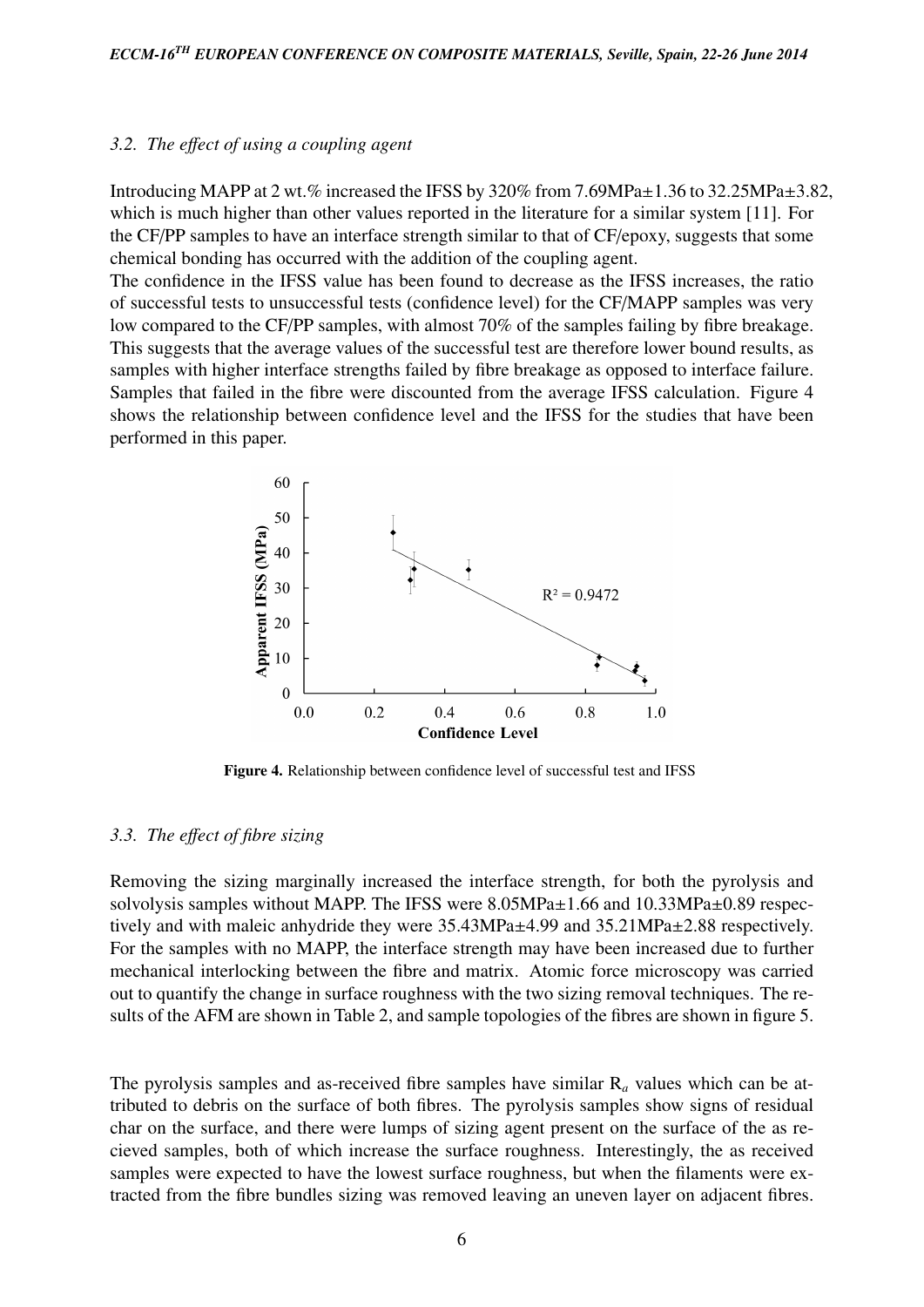#### *3.2. The e*ff*ect of using a coupling agent*

Introducing MAPP at 2 wt.% increased the IFSS by 320% from 7.69MPa±1.36 to 32.25MPa±3.82, which is much higher than other values reported in the literature for a similar system [11]. For the CF/PP samples to have an interface strength similar to that of CF/epoxy, suggests that some chemical bonding has occurred with the addition of the coupling agent.

The confidence in the IFSS value has been found to decrease as the IFSS increases, the ratio of successful tests to unsuccessful tests (confidence level) for the CF/MAPP samples was very low compared to the CF/PP samples, with almost 70% of the samples failing by fibre breakage. This suggests that the average values of the successful test are therefore lower bound results, as samples with higher interface strengths failed by fibre breakage as opposed to interface failure. Samples that failed in the fibre were discounted from the average IFSS calculation. Figure 4 shows the relationship between confidence level and the IFSS for the studies that have been performed in this paper.



Figure 4. Relationship between confidence level of successful test and IFSS

#### *3.3. The e*ff*ect of fibre sizing*

Removing the sizing marginally increased the interface strength, for both the pyrolysis and solvolysis samples without MAPP. The IFSS were 8.05MPa±1.66 and 10.33MPa±0.89 respectively and with maleic anhydride they were 35.43MPa±4.99 and 35.21MPa±2.88 respectively. For the samples with no MAPP, the interface strength may have been increased due to further mechanical interlocking between the fibre and matrix. Atomic force microscopy was carried out to quantify the change in surface roughness with the two sizing removal techniques. The results of the AFM are shown in Table 2, and sample topologies of the fibres are shown in figure 5.

The pyrolysis samples and as-received fibre samples have similar R*<sup>a</sup>* values which can be attributed to debris on the surface of both fibres. The pyrolysis samples show signs of residual char on the surface, and there were lumps of sizing agent present on the surface of the as recieved samples, both of which increase the surface roughness. Interestingly, the as received samples were expected to have the lowest surface roughness, but when the filaments were extracted from the fibre bundles sizing was removed leaving an uneven layer on adjacent fibres.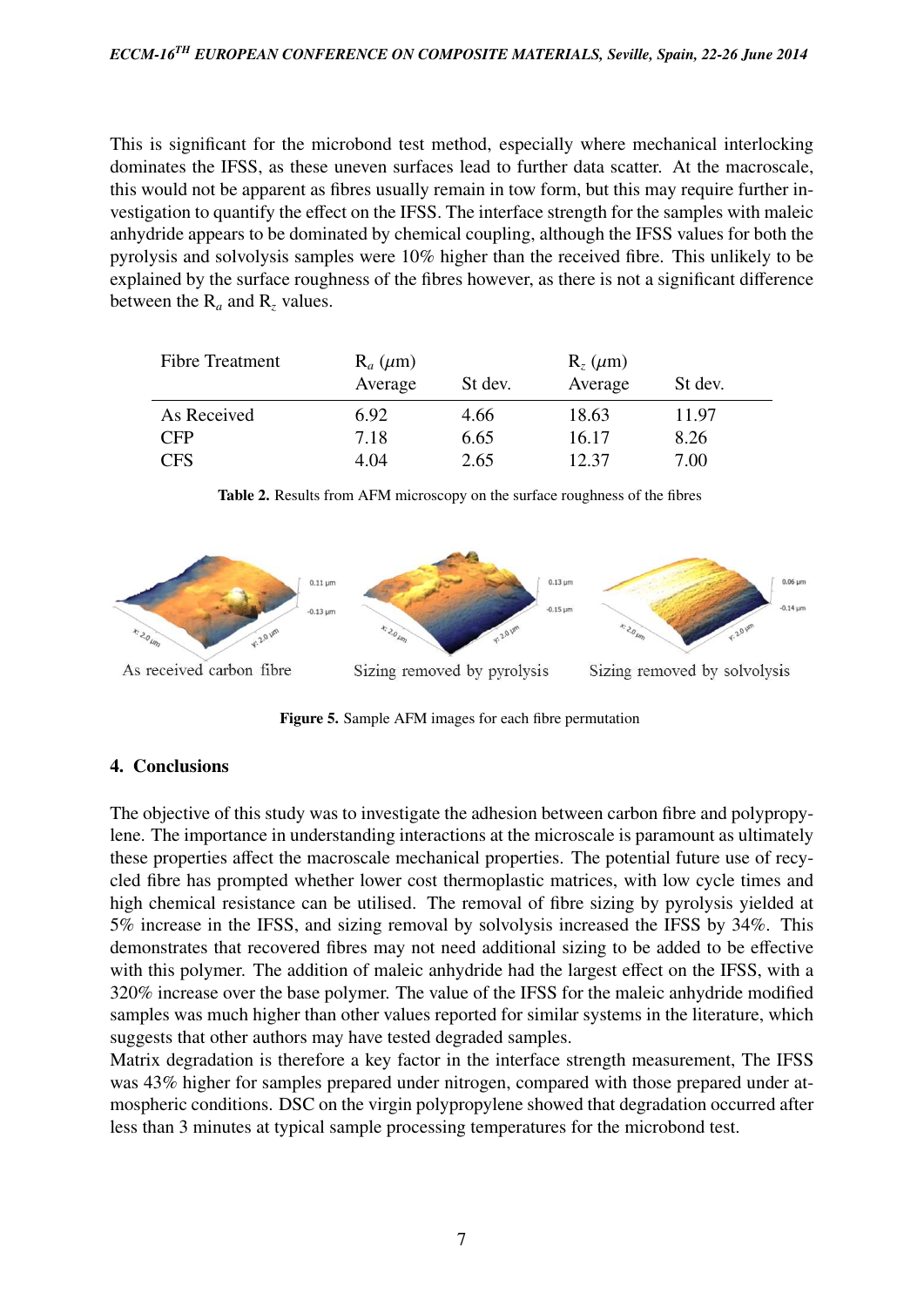This is significant for the microbond test method, especially where mechanical interlocking dominates the IFSS, as these uneven surfaces lead to further data scatter. At the macroscale, this would not be apparent as fibres usually remain in tow form, but this may require further investigation to quantify the effect on the IFSS. The interface strength for the samples with maleic anhydride appears to be dominated by chemical coupling, although the IFSS values for both the pyrolysis and solvolysis samples were 10% higher than the received fibre. This unlikely to be explained by the surface roughness of the fibres however, as there is not a significant difference between the  $R_a$  and  $R_z$  values.

| <b>Fibre Treatment</b> | $R_a$ ( $\mu$ m) |         | $R_z$ ( $\mu$ m) |         |  |
|------------------------|------------------|---------|------------------|---------|--|
|                        | Average          | St dev. | Average          | St dev. |  |
| As Received            | 6.92             | 4.66    | 18.63            | 11.97   |  |
| <b>CFP</b>             | 7.18             | 6.65    | 16.17            | 8.26    |  |
| CFS                    | 4.04             | 2.65    | 12.37            | 7.00    |  |



Table 2. Results from AFM microscopy on the surface roughness of the fibres

Figure 5. Sample AFM images for each fibre permutation

# 4. Conclusions

The objective of this study was to investigate the adhesion between carbon fibre and polypropylene. The importance in understanding interactions at the microscale is paramount as ultimately these properties affect the macroscale mechanical properties. The potential future use of recycled fibre has prompted whether lower cost thermoplastic matrices, with low cycle times and high chemical resistance can be utilised. The removal of fibre sizing by pyrolysis yielded at 5% increase in the IFSS, and sizing removal by solvolysis increased the IFSS by 34%. This demonstrates that recovered fibres may not need additional sizing to be added to be effective with this polymer. The addition of maleic anhydride had the largest effect on the IFSS, with a 320% increase over the base polymer. The value of the IFSS for the maleic anhydride modified samples was much higher than other values reported for similar systems in the literature, which suggests that other authors may have tested degraded samples.

Matrix degradation is therefore a key factor in the interface strength measurement, The IFSS was 43% higher for samples prepared under nitrogen, compared with those prepared under atmospheric conditions. DSC on the virgin polypropylene showed that degradation occurred after less than 3 minutes at typical sample processing temperatures for the microbond test.